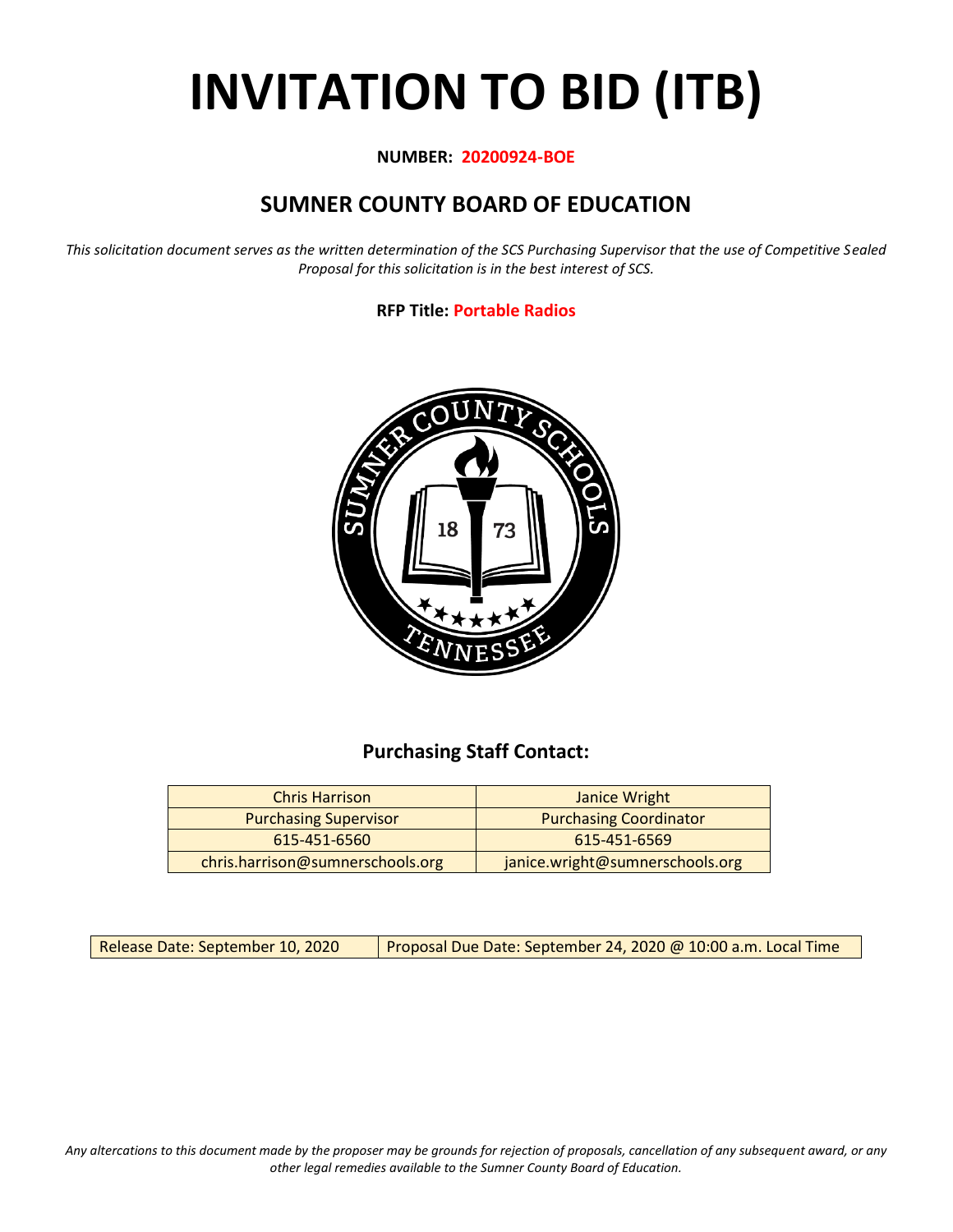# **INVITATION TO BID (ITB)**

## **NUMBER: 20200924-BOE**

# **SUMNER COUNTY BOARD OF EDUCATION**

*This solicitation document serves as the written determination of the SCS Purchasing Supervisor that the use of Competitive Sealed Proposal for this solicitation is in the best interest of SCS.*

# **RFP Title: Portable Radios**



# **Purchasing Staff Contact:**

| <b>Chris Harrison</b>            | Janice Wright                   |
|----------------------------------|---------------------------------|
| <b>Purchasing Supervisor</b>     | <b>Purchasing Coordinator</b>   |
| 615-451-6560                     | 615-451-6569                    |
| chris.harrison@sumnerschools.org | janice.wright@sumnerschools.org |

Release Date: September 10, 2020 | Proposal Due Date: September 24, 2020 @ 10:00 a.m. Local Time

*Any altercations to this document made by the proposer may be grounds for rejection of proposals, cancellation of any subsequent award, or any other legal remedies available to the Sumner County Board of Education.*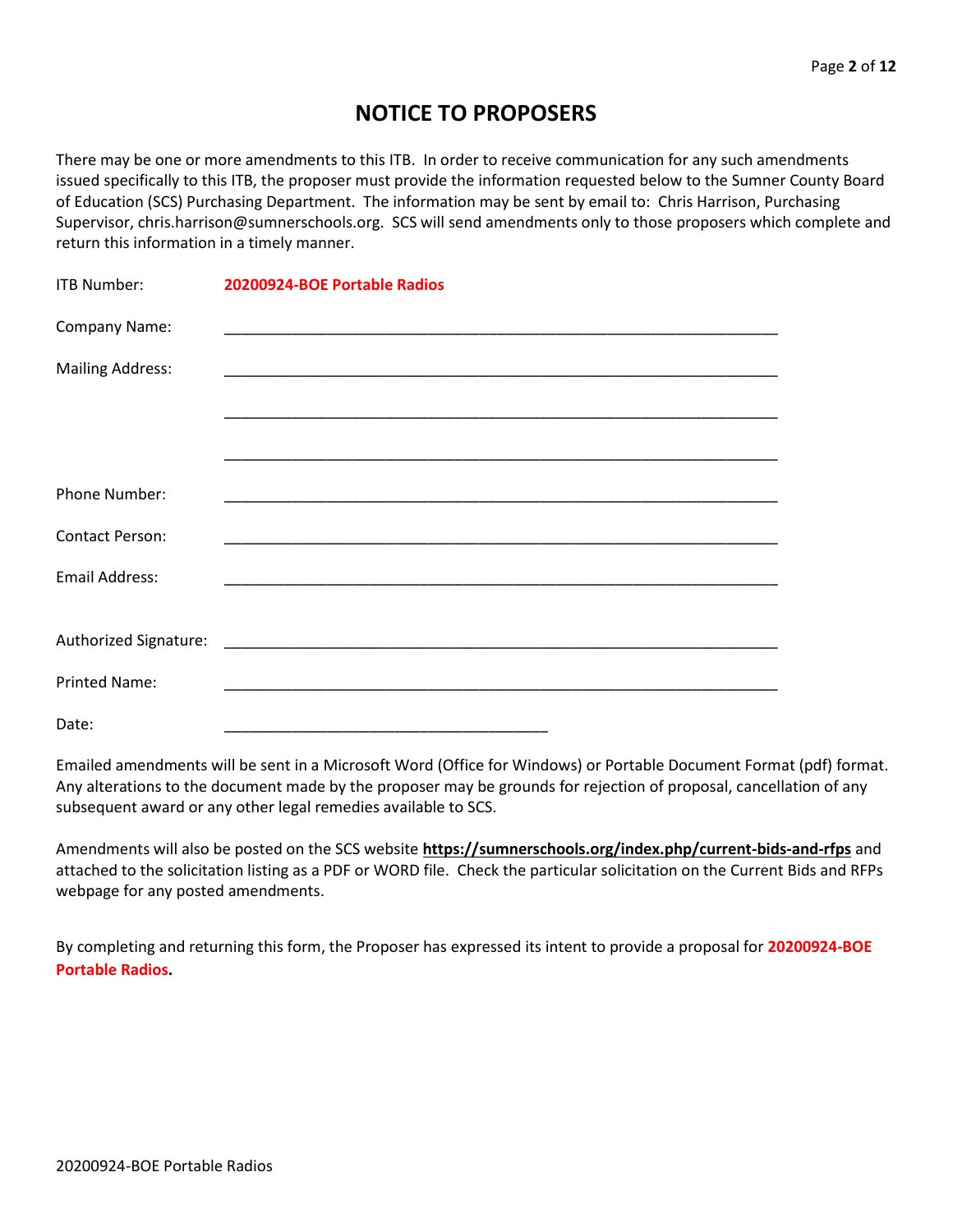# **NOTICE TO PROPOSERS**

There may be one or more amendments to this ITB. In order to receive communication for any such amendments issued specifically to this ITB, the proposer must provide the information requested below to the Sumner County Board of Education (SCS) Purchasing Department. The information may be sent by email to: Chris Harrison, Purchasing Supervisor, chris.harrison@sumnerschools.org. SCS will send amendments only to those proposers which complete and return this information in a timely manner.

| <b>ITB Number:</b>      | 20200924-BOE Portable Radios |
|-------------------------|------------------------------|
| Company Name:           |                              |
| <b>Mailing Address:</b> |                              |
|                         |                              |
|                         |                              |
| Phone Number:           |                              |
| <b>Contact Person:</b>  |                              |
| <b>Email Address:</b>   |                              |
|                         |                              |
|                         |                              |
| <b>Printed Name:</b>    |                              |
| Date:                   |                              |

Emailed amendments will be sent in a Microsoft Word (Office for Windows) or Portable Document Format (pdf) format. Any alterations to the document made by the proposer may be grounds for rejection of proposal, cancellation of any subsequent award or any other legal remedies available to SCS.

Amendments will also be posted on the SCS website **https://sumnerschools.org/index.php/current-bids-and-rfps** and attached to the solicitation listing as a PDF or WORD file. Check the particular solicitation on the Current Bids and RFPs webpage for any posted amendments.

By completing and returning this form, the Proposer has expressed its intent to provide a proposal for **20200924-BOE Portable Radios.**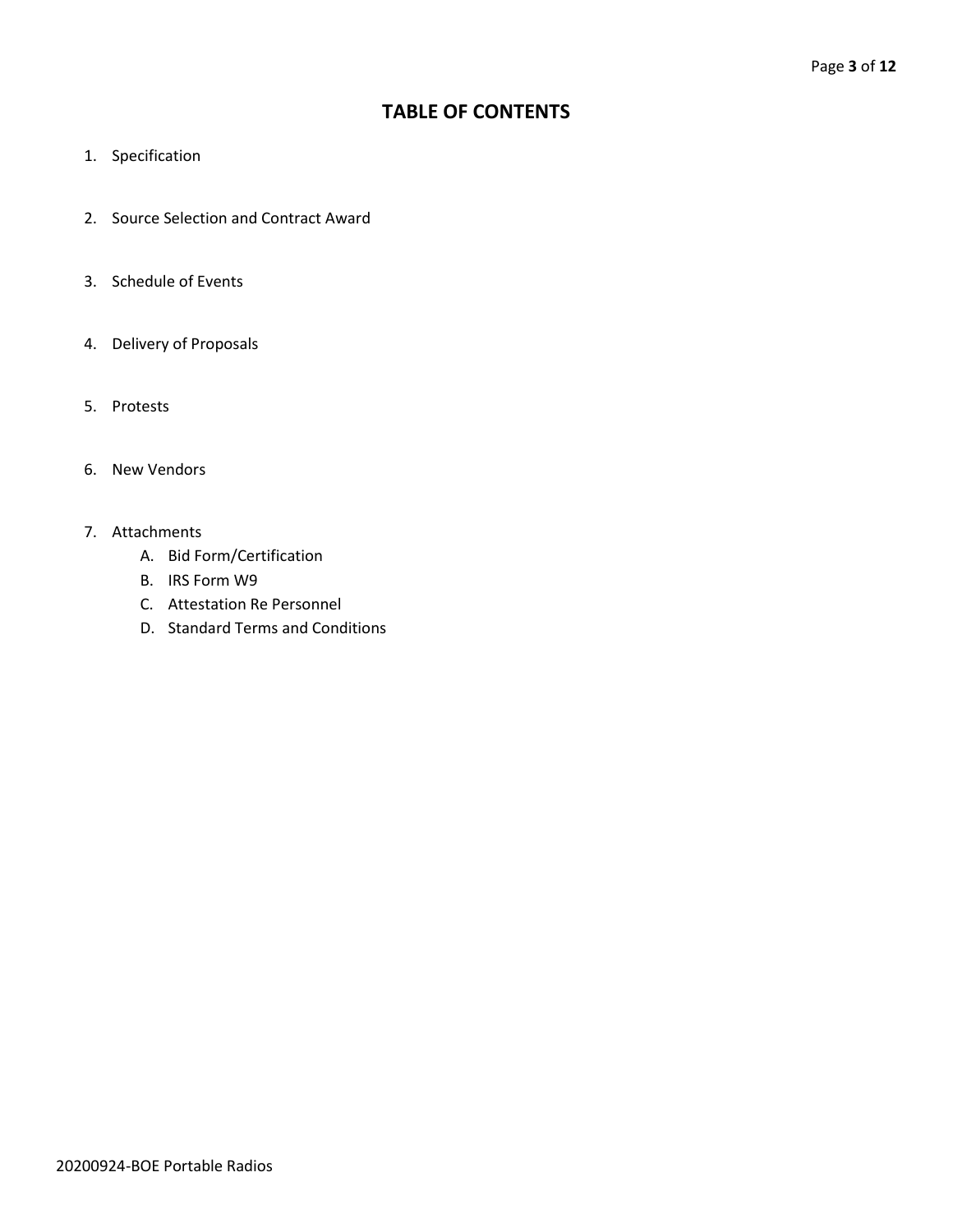# **TABLE OF CONTENTS**

- 1. Specification
- 2. Source Selection and Contract Award
- 3. Schedule of Events
- 4. Delivery of Proposals
- 5. Protests
- 6. New Vendors
- 7. Attachments
	- A. Bid Form/Certification
	- B. IRS Form W9
	- C. Attestation Re Personnel
	- D. Standard Terms and Conditions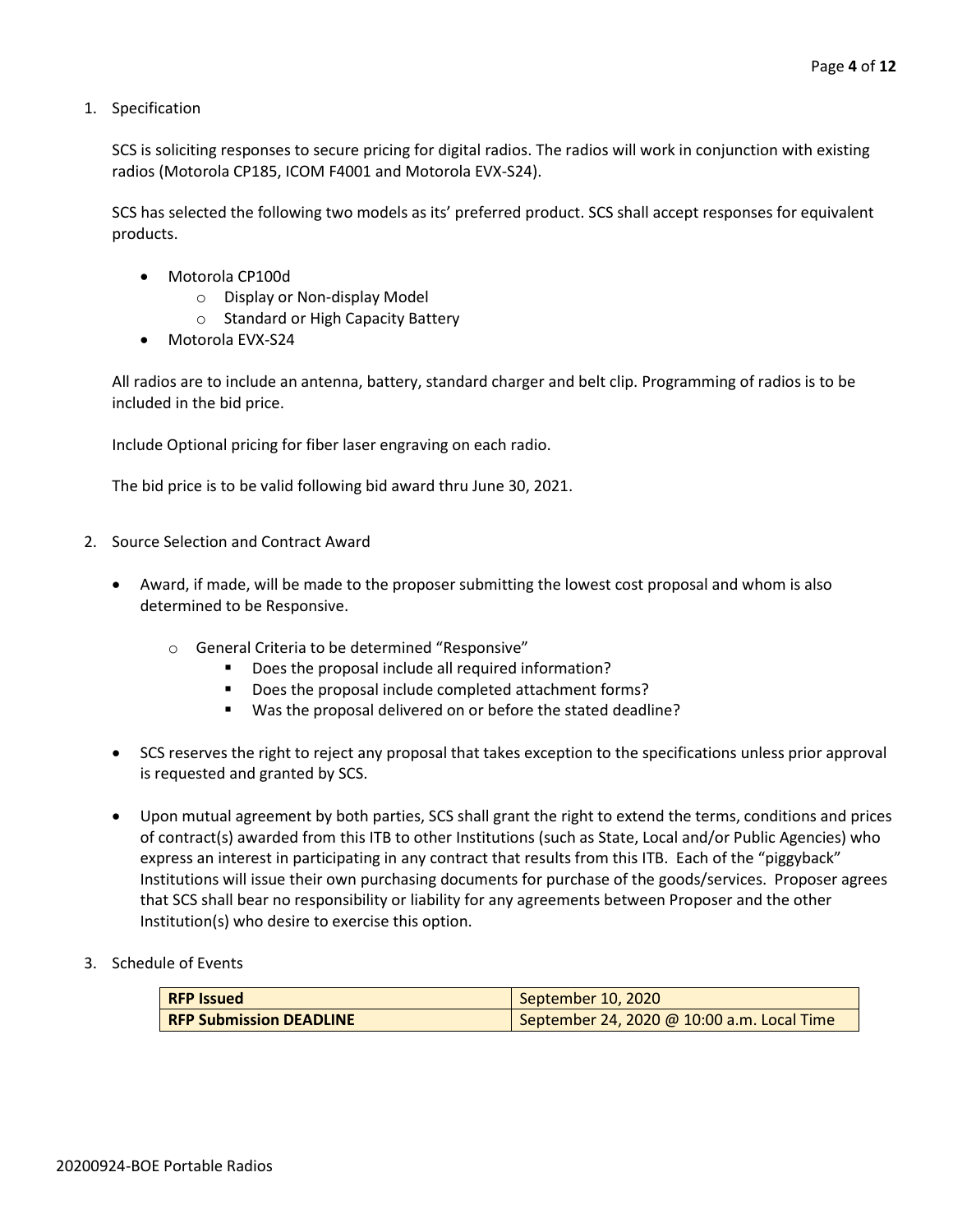1. Specification

SCS is soliciting responses to secure pricing for digital radios. The radios will work in conjunction with existing radios (Motorola CP185, ICOM F4001 and Motorola EVX-S24).

SCS has selected the following two models as its' preferred product. SCS shall accept responses for equivalent products.

- Motorola CP100d
	- o Display or Non-display Model
	- o Standard or High Capacity Battery
- Motorola EVX-S24

All radios are to include an antenna, battery, standard charger and belt clip. Programming of radios is to be included in the bid price.

Include Optional pricing for fiber laser engraving on each radio.

The bid price is to be valid following bid award thru June 30, 2021.

- 2. Source Selection and Contract Award
	- Award, if made, will be made to the proposer submitting the lowest cost proposal and whom is also determined to be Responsive.
		- o General Criteria to be determined "Responsive"
			- Does the proposal include all required information?
			- Does the proposal include completed attachment forms?
			- Was the proposal delivered on or before the stated deadline?
	- SCS reserves the right to reject any proposal that takes exception to the specifications unless prior approval is requested and granted by SCS.
	- Upon mutual agreement by both parties, SCS shall grant the right to extend the terms, conditions and prices of contract(s) awarded from this ITB to other Institutions (such as State, Local and/or Public Agencies) who express an interest in participating in any contract that results from this ITB. Each of the "piggyback" Institutions will issue their own purchasing documents for purchase of the goods/services. Proposer agrees that SCS shall bear no responsibility or liability for any agreements between Proposer and the other Institution(s) who desire to exercise this option.
- 3. Schedule of Events

| <b>RFP Issued</b>              | September 10, 2020                         |
|--------------------------------|--------------------------------------------|
| <b>RFP Submission DEADLINE</b> | September 24, 2020 @ 10:00 a.m. Local Time |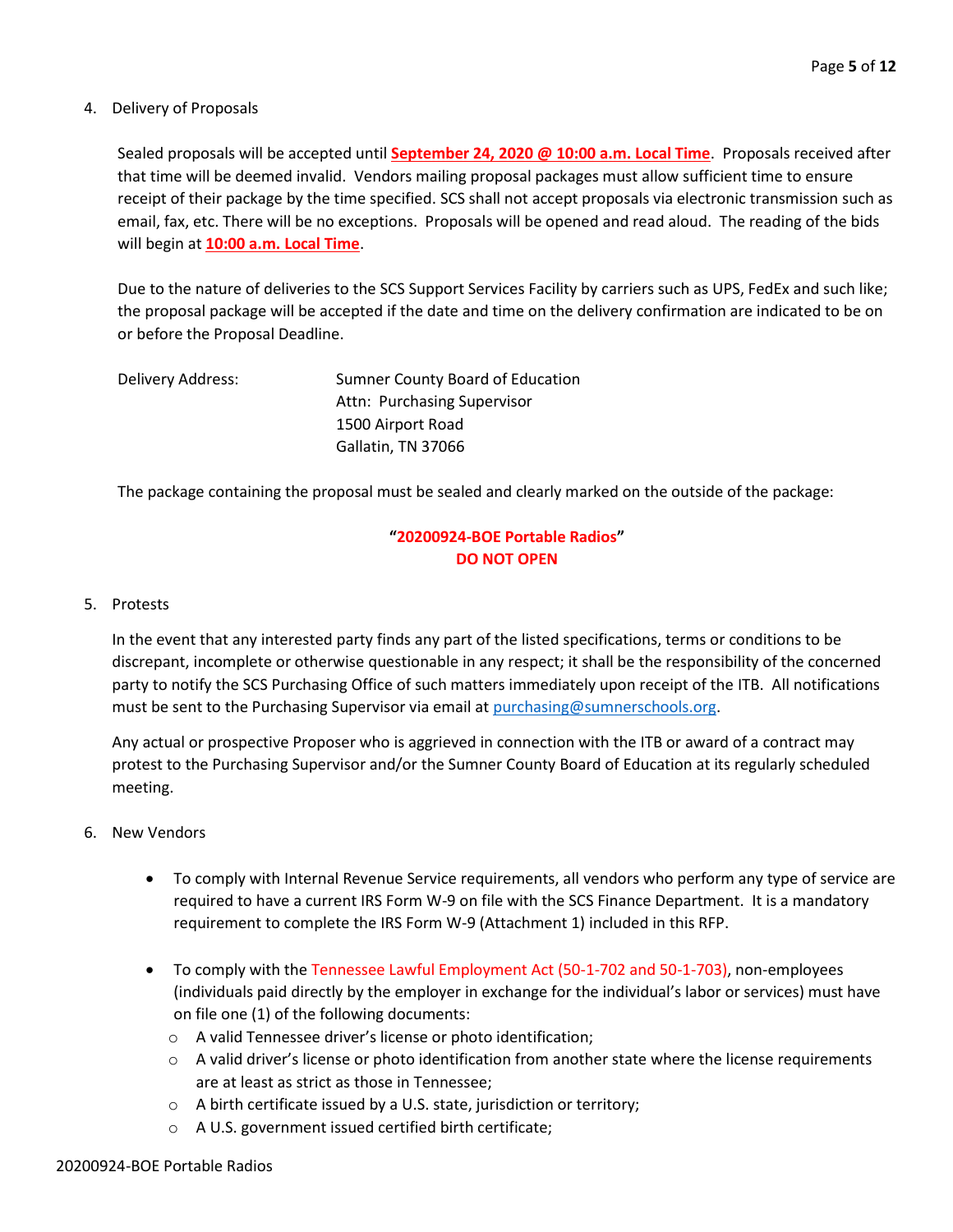#### 4. Delivery of Proposals

Sealed proposals will be accepted until **September 24, 2020 @ 10:00 a.m. Local Time**. Proposals received after that time will be deemed invalid. Vendors mailing proposal packages must allow sufficient time to ensure receipt of their package by the time specified. SCS shall not accept proposals via electronic transmission such as email, fax, etc. There will be no exceptions. Proposals will be opened and read aloud. The reading of the bids will begin at **10:00 a.m. Local Time**.

Due to the nature of deliveries to the SCS Support Services Facility by carriers such as UPS, FedEx and such like; the proposal package will be accepted if the date and time on the delivery confirmation are indicated to be on or before the Proposal Deadline.

| Delivery Address: | Sumner County Board of Education |
|-------------------|----------------------------------|
|                   | Attn: Purchasing Supervisor      |
|                   | 1500 Airport Road                |
|                   | Gallatin, TN 37066               |

The package containing the proposal must be sealed and clearly marked on the outside of the package:

# **"20200924-BOE Portable Radios" DO NOT OPEN**

#### 5. Protests

In the event that any interested party finds any part of the listed specifications, terms or conditions to be discrepant, incomplete or otherwise questionable in any respect; it shall be the responsibility of the concerned party to notify the SCS Purchasing Office of such matters immediately upon receipt of the ITB. All notifications must be sent to the Purchasing Supervisor via email at [purchasing@sumnerschools.org.](mailto:purchasing@sumnerschools.org)

Any actual or prospective Proposer who is aggrieved in connection with the ITB or award of a contract may protest to the Purchasing Supervisor and/or the Sumner County Board of Education at its regularly scheduled meeting.

- 6. New Vendors
	- To comply with Internal Revenue Service requirements, all vendors who perform any type of service are required to have a current IRS Form W-9 on file with the SCS Finance Department. It is a mandatory requirement to complete the IRS Form W-9 (Attachment 1) included in this RFP.
	- To comply with the Tennessee Lawful Employment Act (50-1-702 and 50-1-703), non-employees (individuals paid directly by the employer in exchange for the individual's labor or services) must have on file one (1) of the following documents:
		- o A valid Tennessee driver's license or photo identification;
		- $\circ$  A valid driver's license or photo identification from another state where the license requirements are at least as strict as those in Tennessee;
		- o A birth certificate issued by a U.S. state, jurisdiction or territory;
		- o A U.S. government issued certified birth certificate;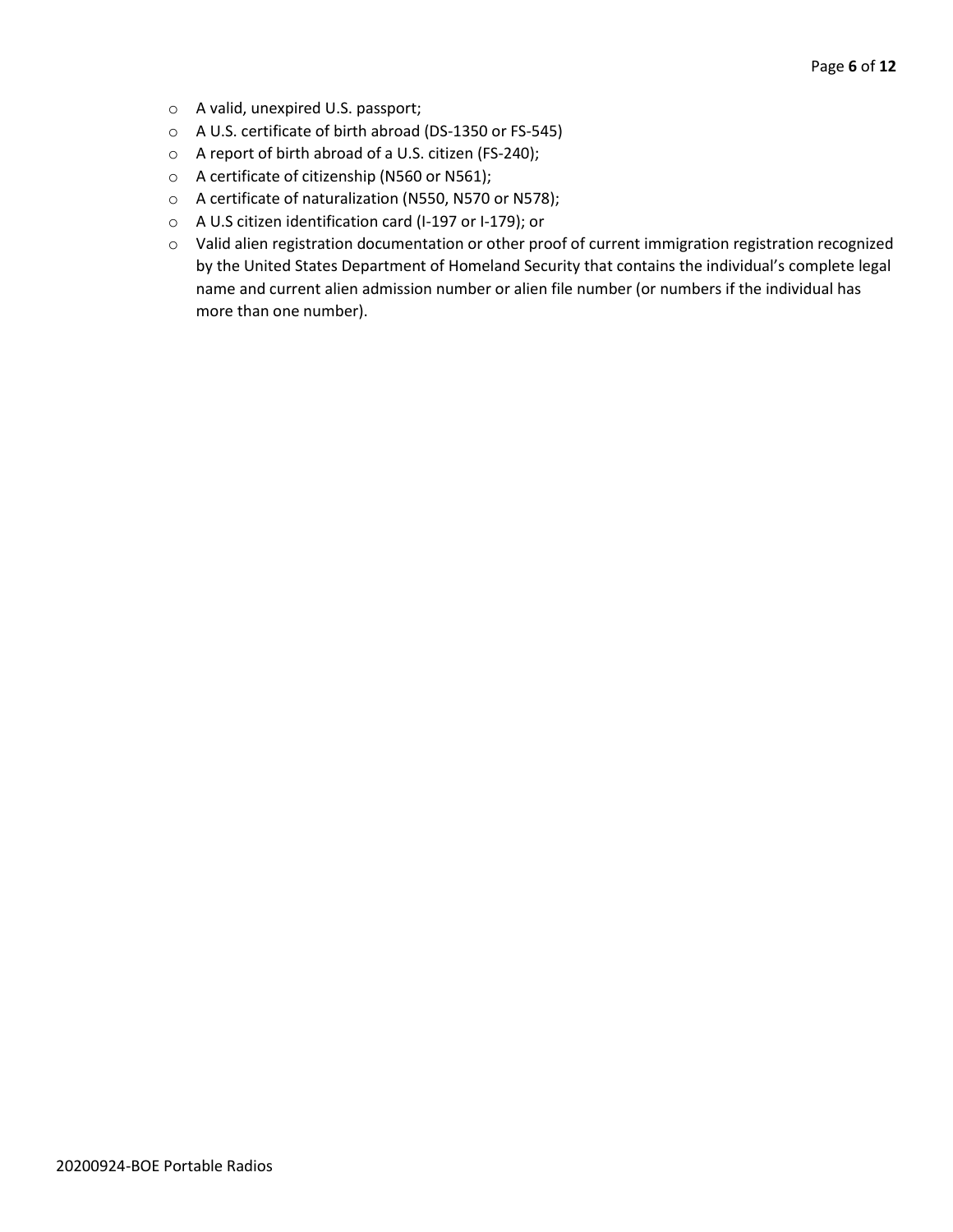- o A valid, unexpired U.S. passport;
- o A U.S. certificate of birth abroad (DS-1350 or FS-545)
- o A report of birth abroad of a U.S. citizen (FS-240);
- o A certificate of citizenship (N560 or N561);
- o A certificate of naturalization (N550, N570 or N578);
- o A U.S citizen identification card (I-197 or I-179); or
- o Valid alien registration documentation or other proof of current immigration registration recognized by the United States Department of Homeland Security that contains the individual's complete legal name and current alien admission number or alien file number (or numbers if the individual has more than one number).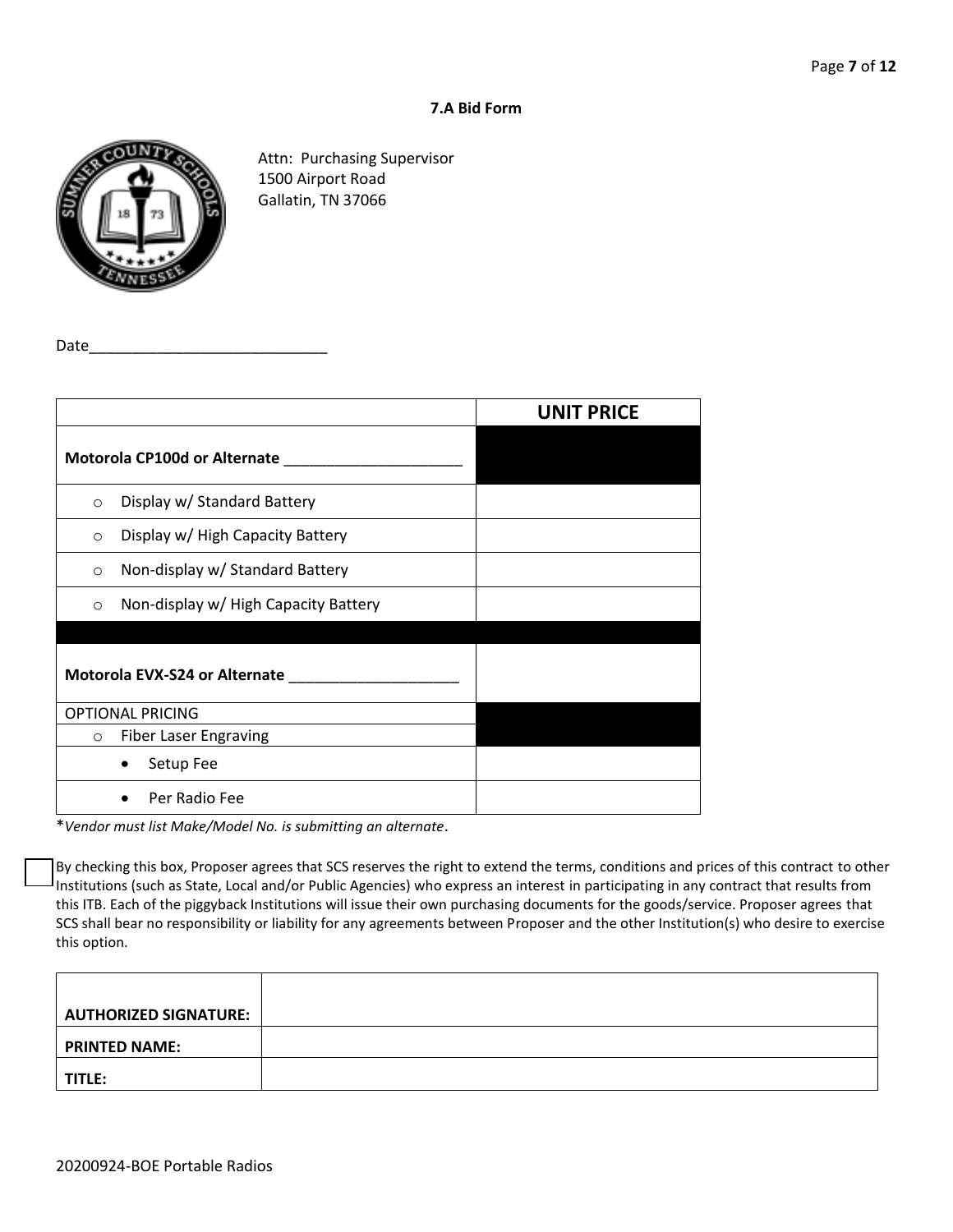### **7.A Bid Form**



Attn: Purchasing Supervisor 1500 Airport Road Gallatin, TN 37066

Date

|         |                                           | <b>UNIT PRICE</b> |
|---------|-------------------------------------------|-------------------|
|         | Motorola CP100d or Alternate ____________ |                   |
| $\circ$ | Display w/ Standard Battery               |                   |
| $\circ$ | Display w/ High Capacity Battery          |                   |
| $\circ$ | Non-display w/ Standard Battery           |                   |
| $\circ$ | Non-display w/ High Capacity Battery      |                   |
|         | Motorola EVX-S24 or Alternate             |                   |
|         | <b>OPTIONAL PRICING</b>                   |                   |
| $\circ$ | <b>Fiber Laser Engraving</b>              |                   |
|         | Setup Fee                                 |                   |
|         | Per Radio Fee                             |                   |

\**Vendor must list Make/Model No. is submitting an alternate*.

By checking this box, Proposer agrees that SCS reserves the right to extend the terms, conditions and prices of this contract to other Institutions (such as State, Local and/or Public Agencies) who express an interest in participating in any contract that results from this ITB. Each of the piggyback Institutions will issue their own purchasing documents for the goods/service. Proposer agrees that SCS shall bear no responsibility or liability for any agreements between Proposer and the other Institution(s) who desire to exercise this option.

| <b>AUTHORIZED SIGNATURE:</b> |  |
|------------------------------|--|
| <b>PRINTED NAME:</b>         |  |
| TITLE:                       |  |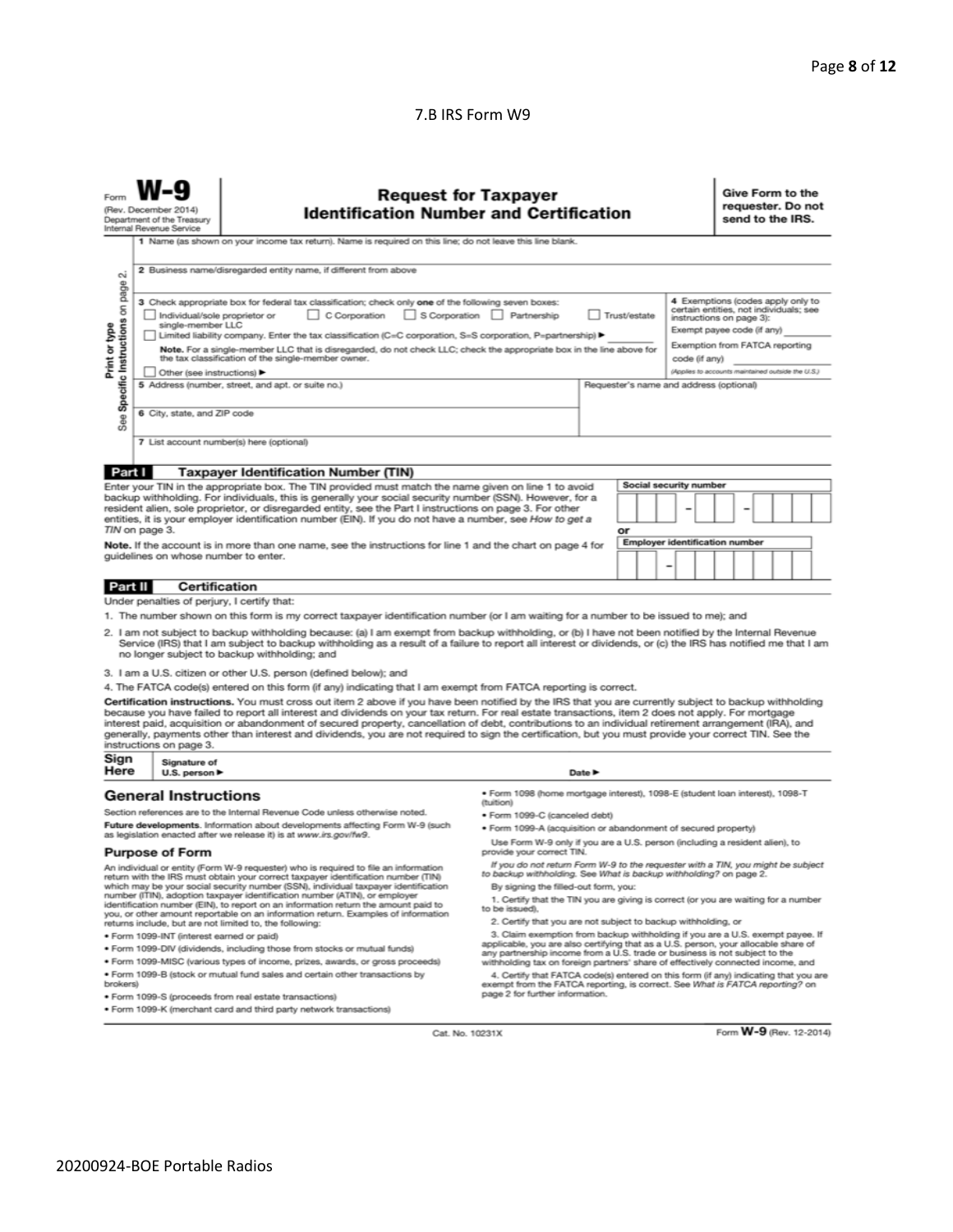#### 7.B IRS Form W9

|                                                                                                                                                                                                                                                                                                                                                                                                                                                                                                                                                                                                                                                                                                                                                                                                                                                             | <b>Request for Taxpayer</b><br><b>Identification Number and Certification</b><br>(Rev. December 2014)<br>Department of the Treasury<br>Internal Revenue Service<br>1 Name (as shown on your income tax return). Name is required on this line; do not leave this line blank. |                                                                               |                                                                                                                                                                     |                            |                                                                                                                                  |  | Give Form to the<br>requester. Do not<br>send to the IRS. |  |  |  |  |
|-------------------------------------------------------------------------------------------------------------------------------------------------------------------------------------------------------------------------------------------------------------------------------------------------------------------------------------------------------------------------------------------------------------------------------------------------------------------------------------------------------------------------------------------------------------------------------------------------------------------------------------------------------------------------------------------------------------------------------------------------------------------------------------------------------------------------------------------------------------|------------------------------------------------------------------------------------------------------------------------------------------------------------------------------------------------------------------------------------------------------------------------------|-------------------------------------------------------------------------------|---------------------------------------------------------------------------------------------------------------------------------------------------------------------|----------------------------|----------------------------------------------------------------------------------------------------------------------------------|--|-----------------------------------------------------------|--|--|--|--|
| $\sim$                                                                                                                                                                                                                                                                                                                                                                                                                                                                                                                                                                                                                                                                                                                                                                                                                                                      |                                                                                                                                                                                                                                                                              | 2 Business name/disregarded entity name, if different from above              |                                                                                                                                                                     |                            |                                                                                                                                  |  |                                                           |  |  |  |  |
| page<br>3 Check appropriate box for federal tax classification; check only one of the following seven boxes:<br>Specific Instructions on<br>S Corporation Partnership<br>Individual/sole proprietor or<br>C Corporation<br>Trust/estate<br>instructions on page 3):<br>single-member LLC<br>Print or type<br>Exempt payee code (if any)<br>Limited liability company. Enter the tax classification (C=C corporation, S=S corporation, P=partnership) ▶<br>Exemption from FATCA reporting<br>Note. For a single-member LLC that is disregarded, do not check LLC; check the appropriate box in the line above for<br>the tax classification of the single-member owner.<br>code (if any)<br>Other (see instructions) ▶<br>5 Address (number, street, and apt. or suite no.)<br>Requester's name and address (optional)<br>6 City, state, and ZIP code<br>See |                                                                                                                                                                                                                                                                              |                                                                               |                                                                                                                                                                     |                            | 4 Exemptions (codes apply only to<br>certain entities, not individuals; see<br>(Applies to accounts maintained outside the U.S.) |  |                                                           |  |  |  |  |
|                                                                                                                                                                                                                                                                                                                                                                                                                                                                                                                                                                                                                                                                                                                                                                                                                                                             |                                                                                                                                                                                                                                                                              | 7 List account number(s) here (optional)                                      |                                                                                                                                                                     |                            |                                                                                                                                  |  |                                                           |  |  |  |  |
| Part I                                                                                                                                                                                                                                                                                                                                                                                                                                                                                                                                                                                                                                                                                                                                                                                                                                                      |                                                                                                                                                                                                                                                                              | <b>Taxpayer Identification Number (TIN)</b>                                   |                                                                                                                                                                     |                            |                                                                                                                                  |  |                                                           |  |  |  |  |
| Social security number<br>Enter your TIN in the appropriate box. The TIN provided must match the name given on line 1 to avoid<br>backup withholding. For individuals, this is generally your social security number (SSN). However, for a<br>resident alien, sole proprietor, or disregarded entity, see the Part I instructions on page 3. For other<br>entities, it is your employer identification number (EIN). If you do not have a number, see How to get a<br>TIN on page 3.<br>or<br><b>Employer identification number</b><br>Note. If the account is in more than one name, see the instructions for line 1 and the chart on page 4 for<br>guidelines on whose number to enter.                                                                                                                                                                   |                                                                                                                                                                                                                                                                              |                                                                               |                                                                                                                                                                     |                            |                                                                                                                                  |  |                                                           |  |  |  |  |
| Part II                                                                                                                                                                                                                                                                                                                                                                                                                                                                                                                                                                                                                                                                                                                                                                                                                                                     | <b>Certification</b>                                                                                                                                                                                                                                                         |                                                                               |                                                                                                                                                                     |                            |                                                                                                                                  |  |                                                           |  |  |  |  |
|                                                                                                                                                                                                                                                                                                                                                                                                                                                                                                                                                                                                                                                                                                                                                                                                                                                             | Under penalties of perjury, I certify that:                                                                                                                                                                                                                                  |                                                                               |                                                                                                                                                                     |                            |                                                                                                                                  |  |                                                           |  |  |  |  |
| 1. The number shown on this form is my correct taxpayer identification number (or I am waiting for a number to be issued to me); and<br>2. I am not subject to backup withholding because: (a) I am exempt from backup withholding, or (b) I have not been notified by the Internal Revenue<br>Service (IRS) that I am subject to backup withholding as a result of a failure to report all interest or dividends, or (c) the IRS has notified me that I am<br>no longer subject to backup withholding; and                                                                                                                                                                                                                                                                                                                                                 |                                                                                                                                                                                                                                                                              |                                                                               |                                                                                                                                                                     |                            |                                                                                                                                  |  |                                                           |  |  |  |  |
|                                                                                                                                                                                                                                                                                                                                                                                                                                                                                                                                                                                                                                                                                                                                                                                                                                                             |                                                                                                                                                                                                                                                                              | 3. I am a U.S. citizen or other U.S. person (defined below); and              |                                                                                                                                                                     |                            |                                                                                                                                  |  |                                                           |  |  |  |  |
| 4. The FATCA code(s) entered on this form (if any) indicating that I am exempt from FATCA reporting is correct.<br>Certification instructions. You must cross out item 2 above if you have been notified by the IRS that you are currently subject to backup withholding<br>because you have failed to report all interest and dividends on your tax return. For real estate transactions, item 2 does not apply. For mortgage<br>interest paid, acquisition or abandonment of secured property, cancellation of debt, contributions to an individual retirement arrangement (IRA), and<br>generally, payments other than interest and dividends, you are not required to sign the certification, but you must provide your correct TIN. See the<br>instructions on page 3.                                                                                 |                                                                                                                                                                                                                                                                              |                                                                               |                                                                                                                                                                     |                            |                                                                                                                                  |  |                                                           |  |  |  |  |
| Sign<br>Here                                                                                                                                                                                                                                                                                                                                                                                                                                                                                                                                                                                                                                                                                                                                                                                                                                                | Signature of<br>U.S. person $\blacktriangleright$                                                                                                                                                                                                                            |                                                                               |                                                                                                                                                                     | Date $\blacktriangleright$ |                                                                                                                                  |  |                                                           |  |  |  |  |
|                                                                                                                                                                                                                                                                                                                                                                                                                                                                                                                                                                                                                                                                                                                                                                                                                                                             | <b>General Instructions</b>                                                                                                                                                                                                                                                  |                                                                               | · Form 1098 (home mortgage interest), 1098-E (student loan interest), 1098-T                                                                                        |                            |                                                                                                                                  |  |                                                           |  |  |  |  |
|                                                                                                                                                                                                                                                                                                                                                                                                                                                                                                                                                                                                                                                                                                                                                                                                                                                             |                                                                                                                                                                                                                                                                              | Section references are to the Internal Revenue Code unless otherwise noted.   | (tuition)<br>· Form 1099-C (canceled debt)                                                                                                                          |                            |                                                                                                                                  |  |                                                           |  |  |  |  |
|                                                                                                                                                                                                                                                                                                                                                                                                                                                                                                                                                                                                                                                                                                                                                                                                                                                             |                                                                                                                                                                                                                                                                              | Future developments. Information about developments affecting Form W-9 (such  | . Form 1099-A (acquisition or abandonment of secured property)                                                                                                      |                            |                                                                                                                                  |  |                                                           |  |  |  |  |
| as legislation enacted after we release it) is at www.irs.gov/fw9.<br>Use Form W-9 only if you are a U.S. person (including a resident alien), to<br>provide your correct TIN.                                                                                                                                                                                                                                                                                                                                                                                                                                                                                                                                                                                                                                                                              |                                                                                                                                                                                                                                                                              |                                                                               |                                                                                                                                                                     |                            |                                                                                                                                  |  |                                                           |  |  |  |  |
| <b>Purpose of Form</b><br>If you do not return Form W-9 to the requester with a TIN, you might be subject<br>An individual or entity (Form W-9 requester) who is required to file an information<br>to backup withholding. See What is backup withholding? on page 2.<br>return with the IRS must obtain your correct taxpayer identification number (TIN)<br>which may be your social security number (SSN), individual taxpayer identification<br>By signing the filled-out form, you:<br>number (ITIN), adoption taxpayer identification number (ATIN), or employer<br>1. Certify that the TIN you are giving is correct (or you are waiting for a number<br>identification number (EIN), to report on an information return the amount paid to                                                                                                          |                                                                                                                                                                                                                                                                              |                                                                               |                                                                                                                                                                     |                            |                                                                                                                                  |  |                                                           |  |  |  |  |
| to be issued).<br>you, or other amount reportable on an information return. Examples of information<br>2. Certify that you are not subject to backup withholding, or<br>returns include, but are not limited to, the following:                                                                                                                                                                                                                                                                                                                                                                                                                                                                                                                                                                                                                             |                                                                                                                                                                                                                                                                              |                                                                               |                                                                                                                                                                     |                            |                                                                                                                                  |  |                                                           |  |  |  |  |
|                                                                                                                                                                                                                                                                                                                                                                                                                                                                                                                                                                                                                                                                                                                                                                                                                                                             | · Form 1099-INT (interest earned or paid)                                                                                                                                                                                                                                    |                                                                               | 3. Claim exemption from backup withholding if you are a U.S. exempt payee. If                                                                                       |                            |                                                                                                                                  |  |                                                           |  |  |  |  |
|                                                                                                                                                                                                                                                                                                                                                                                                                                                                                                                                                                                                                                                                                                                                                                                                                                                             |                                                                                                                                                                                                                                                                              | . Form 1099-DIV (dividends, including those from stocks or mutual funds)      | applicable, you are also certifying that as a U.S. person, your allocable share of<br>any partnership income from a U.S. trade or business is not subject to the    |                            |                                                                                                                                  |  |                                                           |  |  |  |  |
|                                                                                                                                                                                                                                                                                                                                                                                                                                                                                                                                                                                                                                                                                                                                                                                                                                                             |                                                                                                                                                                                                                                                                              | * Form 1099-MISC (various types of income, prizes, awards, or gross proceeds) | withholding tax on foreign partners' share of effectively connected income, and                                                                                     |                            |                                                                                                                                  |  |                                                           |  |  |  |  |
| brokers)                                                                                                                                                                                                                                                                                                                                                                                                                                                                                                                                                                                                                                                                                                                                                                                                                                                    |                                                                                                                                                                                                                                                                              | . Form 1099-B (stock or mutual fund sales and certain other transactions by   | 4. Certify that FATCA code(s) entered on this form (if any) indicating that you are<br>exempt from the FATCA reporting, is correct. See What is FATCA reporting? on |                            |                                                                                                                                  |  |                                                           |  |  |  |  |
|                                                                                                                                                                                                                                                                                                                                                                                                                                                                                                                                                                                                                                                                                                                                                                                                                                                             |                                                                                                                                                                                                                                                                              | · Form 1099-S (proceeds from real estate transactions)                        | page 2 for further information.                                                                                                                                     |                            |                                                                                                                                  |  |                                                           |  |  |  |  |
|                                                                                                                                                                                                                                                                                                                                                                                                                                                                                                                                                                                                                                                                                                                                                                                                                                                             |                                                                                                                                                                                                                                                                              |                                                                               |                                                                                                                                                                     |                            | . Form 1099-K (merchant card and third party network transactions)                                                               |  |                                                           |  |  |  |  |

Cat. No. 10231X

Form W-9 (Rev. 12-2014)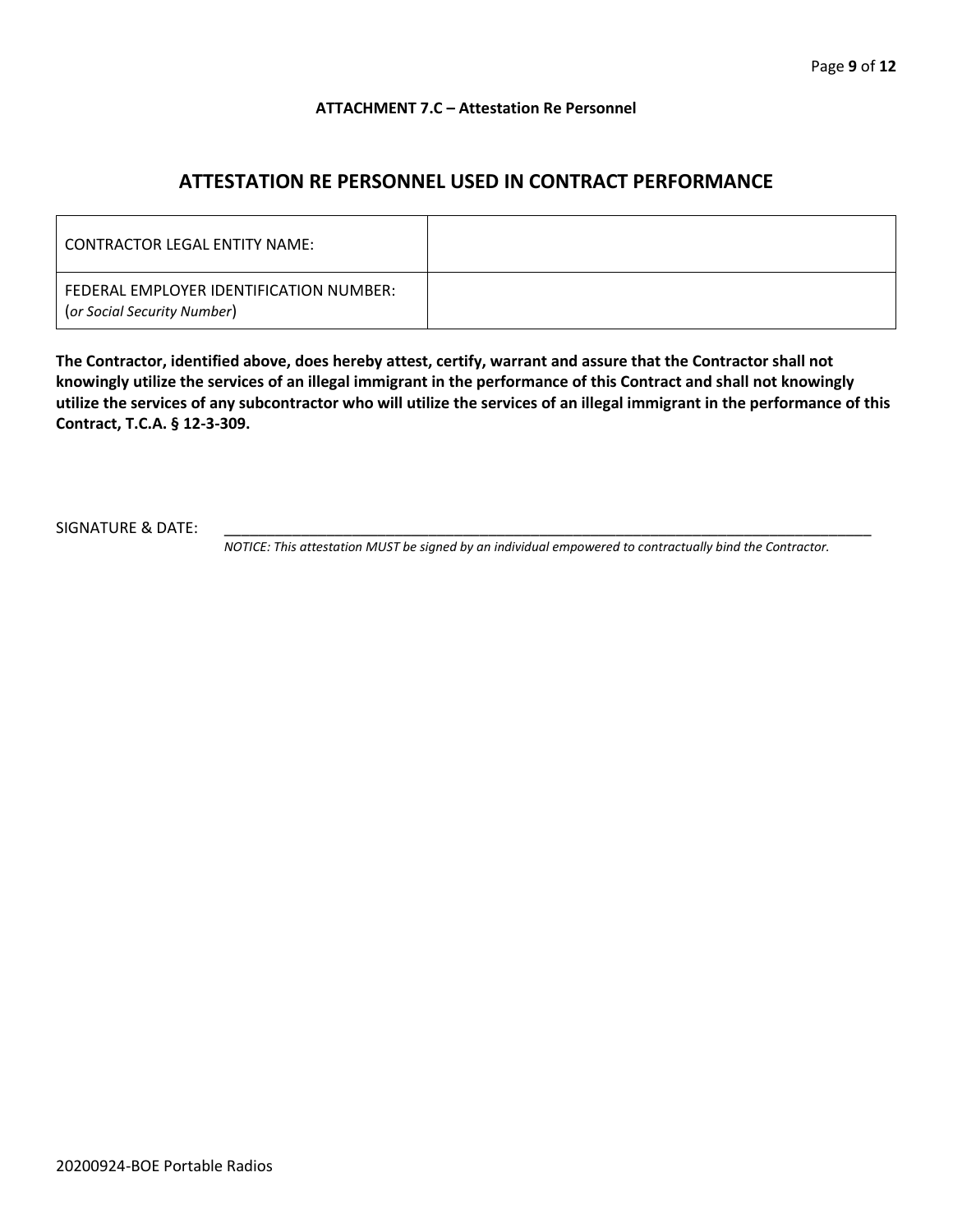#### **ATTACHMENT 7.C – Attestation Re Personnel**

# **ATTESTATION RE PERSONNEL USED IN CONTRACT PERFORMANCE**

| CONTRACTOR LEGAL ENTITY NAME:                                          |  |
|------------------------------------------------------------------------|--|
| FEDERAL EMPLOYER IDENTIFICATION NUMBER:<br>(or Social Security Number) |  |

**The Contractor, identified above, does hereby attest, certify, warrant and assure that the Contractor shall not knowingly utilize the services of an illegal immigrant in the performance of this Contract and shall not knowingly utilize the services of any subcontractor who will utilize the services of an illegal immigrant in the performance of this Contract, T.C.A. § 12-3-309.**

SIGNATURE & DATE:

*NOTICE: This attestation MUST be signed by an individual empowered to contractually bind the Contractor.*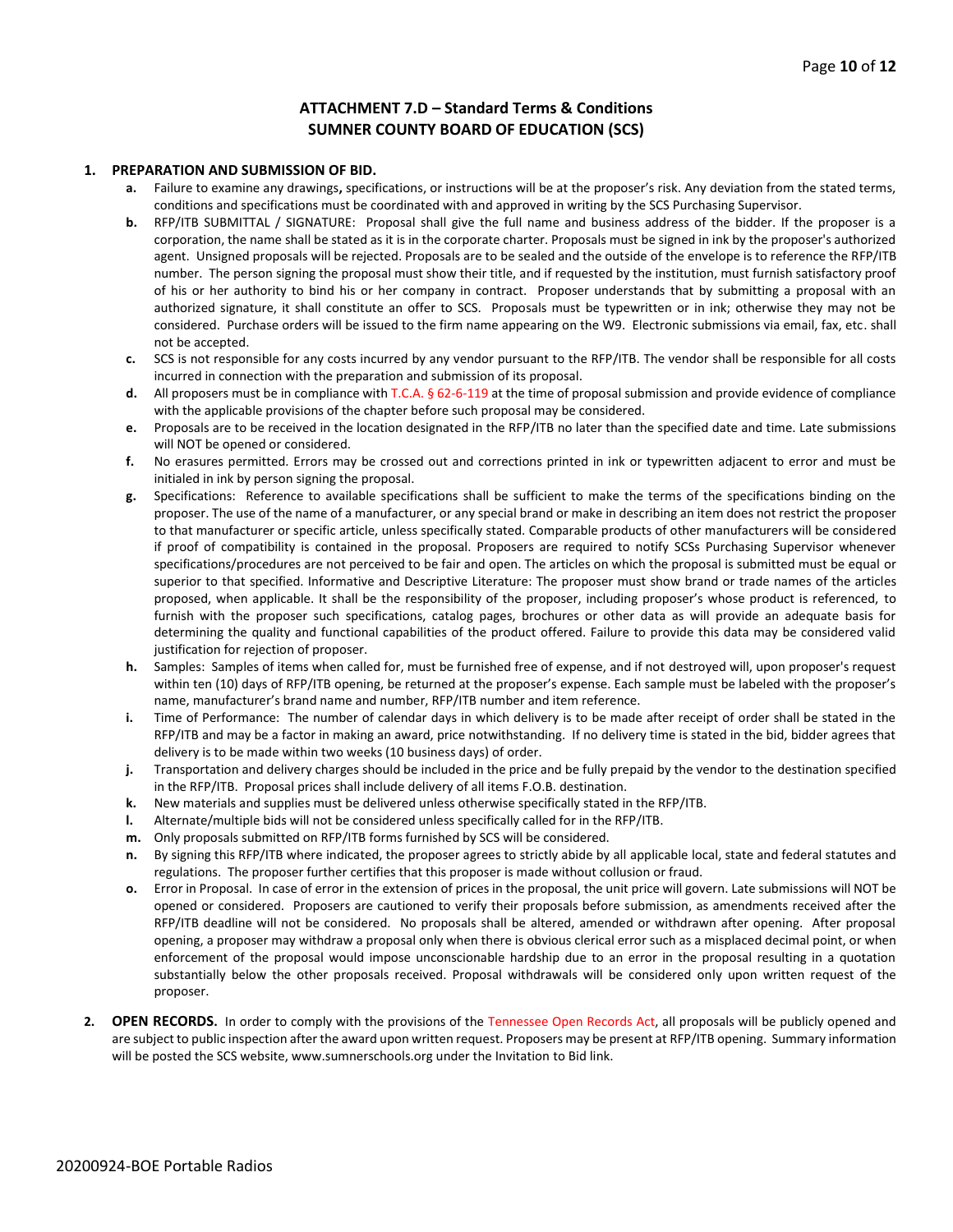#### **ATTACHMENT 7.D – Standard Terms & Conditions SUMNER COUNTY BOARD OF EDUCATION (SCS)**

#### **1. PREPARATION AND SUBMISSION OF BID.**

- **a.** Failure to examine any drawings**,** specifications, or instructions will be at the proposer's risk. Any deviation from the stated terms, conditions and specifications must be coordinated with and approved in writing by the SCS Purchasing Supervisor.
- **b.** RFP/ITB SUBMITTAL / SIGNATURE: Proposal shall give the full name and business address of the bidder. If the proposer is a corporation, the name shall be stated as it is in the corporate charter. Proposals must be signed in ink by the proposer's authorized agent. Unsigned proposals will be rejected. Proposals are to be sealed and the outside of the envelope is to reference the RFP/ITB number. The person signing the proposal must show their title, and if requested by the institution, must furnish satisfactory proof of his or her authority to bind his or her company in contract. Proposer understands that by submitting a proposal with an authorized signature, it shall constitute an offer to SCS. Proposals must be typewritten or in ink; otherwise they may not be considered. Purchase orders will be issued to the firm name appearing on the W9. Electronic submissions via email, fax, etc. shall not be accepted.
- **c.** SCS is not responsible for any costs incurred by any vendor pursuant to the RFP/ITB. The vendor shall be responsible for all costs incurred in connection with the preparation and submission of its proposal.
- **d.** All proposers must be in compliance with T.C.A. § 62-6-119 at the time of proposal submission and provide evidence of compliance with the applicable provisions of the chapter before such proposal may be considered.
- **e.** Proposals are to be received in the location designated in the RFP/ITB no later than the specified date and time. Late submissions will NOT be opened or considered.
- **f.** No erasures permitted. Errors may be crossed out and corrections printed in ink or typewritten adjacent to error and must be initialed in ink by person signing the proposal.
- **g.** Specifications: Reference to available specifications shall be sufficient to make the terms of the specifications binding on the proposer. The use of the name of a manufacturer, or any special brand or make in describing an item does not restrict the proposer to that manufacturer or specific article, unless specifically stated. Comparable products of other manufacturers will be considered if proof of compatibility is contained in the proposal. Proposers are required to notify SCSs Purchasing Supervisor whenever specifications/procedures are not perceived to be fair and open. The articles on which the proposal is submitted must be equal or superior to that specified. Informative and Descriptive Literature: The proposer must show brand or trade names of the articles proposed, when applicable. It shall be the responsibility of the proposer, including proposer's whose product is referenced, to furnish with the proposer such specifications, catalog pages, brochures or other data as will provide an adequate basis for determining the quality and functional capabilities of the product offered. Failure to provide this data may be considered valid justification for rejection of proposer.
- **h.** Samples: Samples of items when called for, must be furnished free of expense, and if not destroyed will, upon proposer's request within ten (10) days of RFP/ITB opening, be returned at the proposer's expense. Each sample must be labeled with the proposer's name, manufacturer's brand name and number, RFP/ITB number and item reference.
- **i.** Time of Performance: The number of calendar days in which delivery is to be made after receipt of order shall be stated in the RFP/ITB and may be a factor in making an award, price notwithstanding. If no delivery time is stated in the bid, bidder agrees that delivery is to be made within two weeks (10 business days) of order.
- **j.** Transportation and delivery charges should be included in the price and be fully prepaid by the vendor to the destination specified in the RFP/ITB. Proposal prices shall include delivery of all items F.O.B. destination.
- **k.** New materials and supplies must be delivered unless otherwise specifically stated in the RFP/ITB.
- **l.** Alternate/multiple bids will not be considered unless specifically called for in the RFP/ITB.
- **m.** Only proposals submitted on RFP/ITB forms furnished by SCS will be considered.
- **n.** By signing this RFP/ITB where indicated, the proposer agrees to strictly abide by all applicable local, state and federal statutes and regulations. The proposer further certifies that this proposer is made without collusion or fraud.
- **o.** Error in Proposal. In case of error in the extension of prices in the proposal, the unit price will govern. Late submissions will NOT be opened or considered. Proposers are cautioned to verify their proposals before submission, as amendments received after the RFP/ITB deadline will not be considered. No proposals shall be altered, amended or withdrawn after opening. After proposal opening, a proposer may withdraw a proposal only when there is obvious clerical error such as a misplaced decimal point, or when enforcement of the proposal would impose unconscionable hardship due to an error in the proposal resulting in a quotation substantially below the other proposals received. Proposal withdrawals will be considered only upon written request of the proposer.
- **2. OPEN RECORDS.** In order to comply with the provisions of the Tennessee Open Records Act, all proposals will be publicly opened and are subject to public inspection after the award upon written request. Proposers may be present at RFP/ITB opening. Summary information will be posted the SCS website, www.sumnerschools.org under the Invitation to Bid link.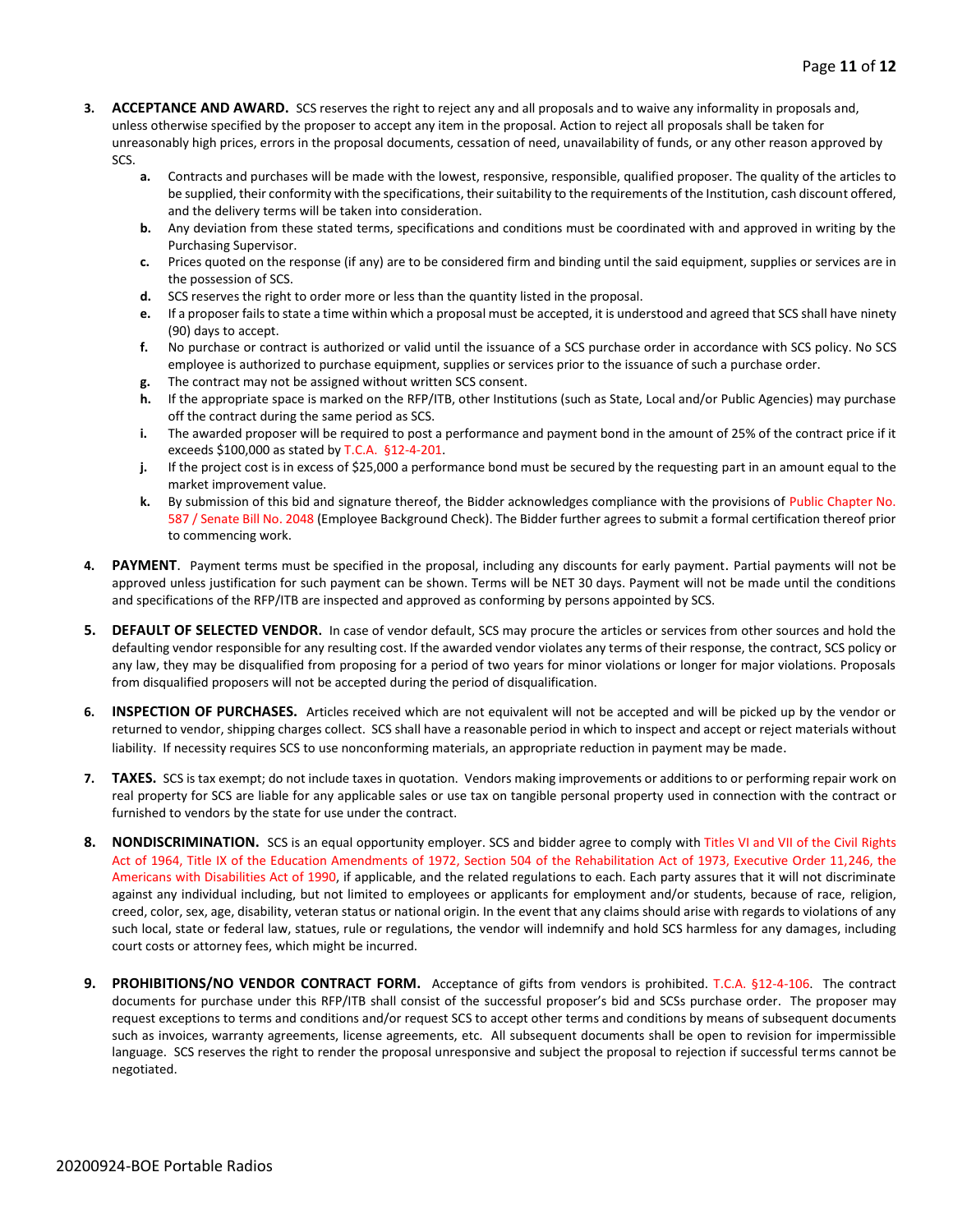- **3. ACCEPTANCE AND AWARD.** SCS reserves the right to reject any and all proposals and to waive any informality in proposals and, unless otherwise specified by the proposer to accept any item in the proposal. Action to reject all proposals shall be taken for unreasonably high prices, errors in the proposal documents, cessation of need, unavailability of funds, or any other reason approved by SCS.
	- **a.** Contracts and purchases will be made with the lowest, responsive, responsible, qualified proposer. The quality of the articles to be supplied, their conformity with the specifications, their suitability to the requirements of the Institution, cash discount offered, and the delivery terms will be taken into consideration.
	- **b.** Any deviation from these stated terms, specifications and conditions must be coordinated with and approved in writing by the Purchasing Supervisor.
	- **c.** Prices quoted on the response (if any) are to be considered firm and binding until the said equipment, supplies or services are in the possession of SCS.
	- **d.** SCS reserves the right to order more or less than the quantity listed in the proposal.
	- **e.** If a proposer fails to state a time within which a proposal must be accepted, it is understood and agreed that SCS shall have ninety (90) days to accept.
	- **f.** No purchase or contract is authorized or valid until the issuance of a SCS purchase order in accordance with SCS policy. No SCS employee is authorized to purchase equipment, supplies or services prior to the issuance of such a purchase order.
	- **g.** The contract may not be assigned without written SCS consent.
	- **h.** If the appropriate space is marked on the RFP/ITB, other Institutions (such as State, Local and/or Public Agencies) may purchase off the contract during the same period as SCS.
	- **i.** The awarded proposer will be required to post a performance and payment bond in the amount of 25% of the contract price if it exceeds \$100,000 as stated by T.C.A. §12-4-201.
	- **j.** If the project cost is in excess of \$25,000 a performance bond must be secured by the requesting part in an amount equal to the market improvement value.
	- **k.** By submission of this bid and signature thereof, the Bidder acknowledges compliance with the provisions of Public Chapter No. 587 / Senate Bill No. 2048 (Employee Background Check). The Bidder further agrees to submit a formal certification thereof prior to commencing work.
- PAYMENT. Payment terms must be specified in the proposal, including any discounts for early payment. Partial payments will not be approved unless justification for such payment can be shown. Terms will be NET 30 days. Payment will not be made until the conditions and specifications of the RFP/ITB are inspected and approved as conforming by persons appointed by SCS.
- **5. DEFAULT OF SELECTED VENDOR.** In case of vendor default, SCS may procure the articles or services from other sources and hold the defaulting vendor responsible for any resulting cost. If the awarded vendor violates any terms of their response, the contract, SCS policy or any law, they may be disqualified from proposing for a period of two years for minor violations or longer for major violations. Proposals from disqualified proposers will not be accepted during the period of disqualification.
- **6. INSPECTION OF PURCHASES.** Articles received which are not equivalent will not be accepted and will be picked up by the vendor or returned to vendor, shipping charges collect. SCS shall have a reasonable period in which to inspect and accept or reject materials without liability. If necessity requires SCS to use nonconforming materials, an appropriate reduction in payment may be made.
- **7. TAXES.** SCS is tax exempt; do not include taxes in quotation. Vendors making improvements or additions to or performing repair work on real property for SCS are liable for any applicable sales or use tax on tangible personal property used in connection with the contract or furnished to vendors by the state for use under the contract.
- **8. NONDISCRIMINATION.** SCS is an equal opportunity employer. SCS and bidder agree to comply with Titles VI and VII of the Civil Rights Act of 1964, Title IX of the Education Amendments of 1972, Section 504 of the Rehabilitation Act of 1973, Executive Order 11,246, the Americans with Disabilities Act of 1990, if applicable, and the related regulations to each. Each party assures that it will not discriminate against any individual including, but not limited to employees or applicants for employment and/or students, because of race, religion, creed, color, sex, age, disability, veteran status or national origin. In the event that any claims should arise with regards to violations of any such local, state or federal law, statues, rule or regulations, the vendor will indemnify and hold SCS harmless for any damages, including court costs or attorney fees, which might be incurred.
- **9. PROHIBITIONS/NO VENDOR CONTRACT FORM.** Acceptance of gifts from vendors is prohibited. T.C.A. §12-4-106. The contract documents for purchase under this RFP/ITB shall consist of the successful proposer's bid and SCSs purchase order. The proposer may request exceptions to terms and conditions and/or request SCS to accept other terms and conditions by means of subsequent documents such as invoices, warranty agreements, license agreements, etc. All subsequent documents shall be open to revision for impermissible language. SCS reserves the right to render the proposal unresponsive and subject the proposal to rejection if successful terms cannot be negotiated.